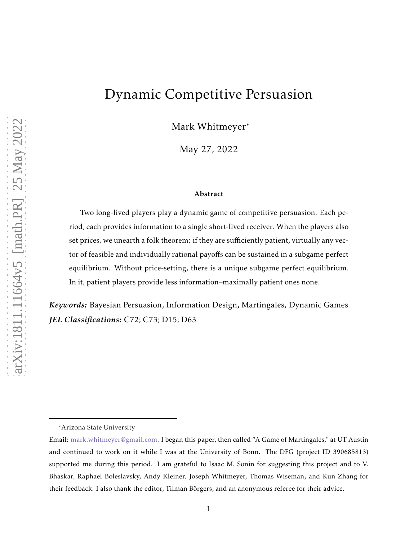# Dynamic Competitive Persuasion

Mark Whitmeyer\*

May 27, 2022

#### Abstract

Two long-lived players play a dynamic game of competitive persuasion. Each period, each provides information to a single short-lived receiver. When the players also set prices, we unearth a folk theorem: if they are sufficiently patient, virtually any vector of feasible and individually rational payoffs can be sustained in a subgame perfect equilibrium. Without price-setting, there is a unique subgame perfect equilibrium. In it, patient players provide less information–maximally patient ones none.

*Keywords:* Bayesian Persuasion, Information Design, Martingales, Dynamic Games *JEL Classifications:* C72; C73; D15; D63

<sup>\*</sup>Arizona State University

Email: [mark.whitmeyer@gmail.com.](mailto:mark.whitmeyer@gmail.com) I began this paper, then called "A Game of Martingales," at UT Austin and continued to work on it while I was at the University of Bonn. The DFG (project ID 390685813) supported me during this period. I am grateful to Isaac M. Sonin for suggesting this project and to V. Bhaskar, Raphael Boleslavsky, Andy Kleiner, Joseph Whitmeyer, Thomas Wiseman, and Kun Zhang for their feedback. I also thank the editor, Tilman Börgers, and an anonymous referee for their advice.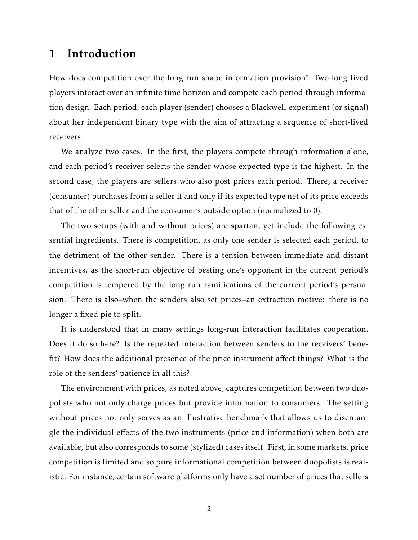### 1 Introduction

How does competition over the long run shape information provision? Two long-lived players interact over an infinite time horizon and compete each period through information design. Each period, each player (sender) chooses a Blackwell experiment (or signal) about her independent binary type with the aim of attracting a sequence of short-lived receivers.

We analyze two cases. In the first, the players compete through information alone, and each period's receiver selects the sender whose expected type is the highest. In the second case, the players are sellers who also post prices each period. There, a receiver (consumer) purchases from a seller if and only if its expected type net of its price exceeds that of the other seller and the consumer's outside option (normalized to 0).

The two setups (with and without prices) are spartan, yet include the following essential ingredients. There is competition, as only one sender is selected each period, to the detriment of the other sender. There is a tension between immediate and distant incentives, as the short-run objective of besting one's opponent in the current period's competition is tempered by the long-run ramifications of the current period's persuasion. There is also–when the senders also set prices–an extraction motive: there is no longer a fixed pie to split.

It is understood that in many settings long-run interaction facilitates cooperation. Does it do so here? Is the repeated interaction between senders to the receivers' benefit? How does the additional presence of the price instrument affect things? What is the role of the senders' patience in all this?

The environment with prices, as noted above, captures competition between two duopolists who not only charge prices but provide information to consumers. The setting without prices not only serves as an illustrative benchmark that allows us to disentangle the individual effects of the two instruments (price and information) when both are available, but also corresponds to some (stylized) cases itself. First, in some markets, price competition is limited and so pure informational competition between duopolists is realistic. For instance, certain software platforms only have a set number of prices that sellers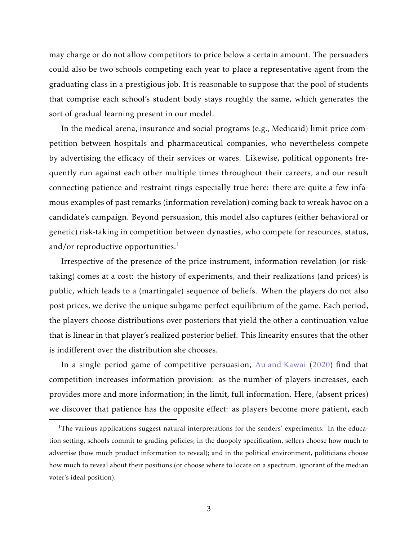may charge or do not allow competitors to price below a certain amount. The persuaders could also be two schools competing each year to place a representative agent from the graduating class in a prestigious job. It is reasonable to suppose that the pool of students that comprise each school's student body stays roughly the same, which generates the sort of gradual learning present in our model.

In the medical arena, insurance and social programs (e.g., Medicaid) limit price competition between hospitals and pharmaceutical companies, who nevertheless compete by advertising the efficacy of their services or wares. Likewise, political opponents frequently run against each other multiple times throughout their careers, and our result connecting patience and restraint rings especially true here: there are quite a few infamous examples of past remarks (information revelation) coming back to wreak havoc on a candidate's campaign. Beyond persuasion, this model also captures (either behavioral or genetic) risk-taking in competition between dynasties, who compete for resources, status, and/or reproductive opportunities. $<sup>1</sup>$  $<sup>1</sup>$  $<sup>1</sup>$ </sup>

Irrespective of the presence of the price instrument, information revelation (or risktaking) comes at a cost: the history of experiments, and their realizations (and prices) is public, which leads to a (martingale) sequence of beliefs. When the players do not also post prices, we derive the unique subgame perfect equilibrium of the game. Each period, the players choose distributions over posteriors that yield the other a continuation value that is linear in that player's realized posterior belief. This linearity ensures that the other is indifferent over the distribution she chooses.

In a single period game of competitive persuasion, [Au and Kawai](#page-12-0) [\(2020\)](#page-12-0) find that competition increases information provision: as the number of players increases, each provides more and more information; in the limit, full information. Here, (absent prices) we discover that patience has the opposite effect: as players become more patient, each

<span id="page-2-0"></span><sup>&</sup>lt;sup>1</sup>The various applications suggest natural interpretations for the senders' experiments. In the education setting, schools commit to grading policies; in the duopoly specification, sellers choose how much to advertise (how much product information to reveal); and in the political environment, politicians choose how much to reveal about their positions (or choose where to locate on a spectrum, ignorant of the median voter's ideal position).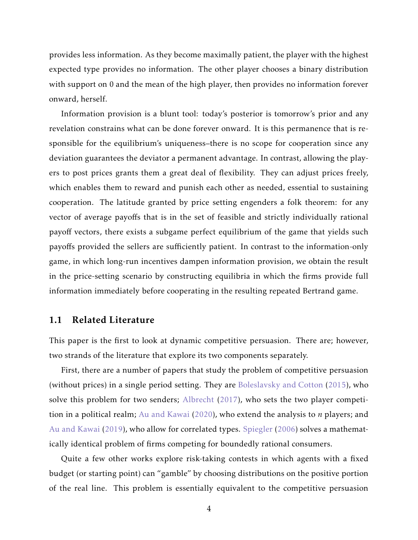provides less information. As they become maximally patient, the player with the highest expected type provides no information. The other player chooses a binary distribution with support on 0 and the mean of the high player, then provides no information forever onward, herself.

Information provision is a blunt tool: today's posterior is tomorrow's prior and any revelation constrains what can be done forever onward. It is this permanence that is responsible for the equilibrium's uniqueness–there is no scope for cooperation since any deviation guarantees the deviator a permanent advantage. In contrast, allowing the players to post prices grants them a great deal of flexibility. They can adjust prices freely, which enables them to reward and punish each other as needed, essential to sustaining cooperation. The latitude granted by price setting engenders a folk theorem: for any vector of average payoffs that is in the set of feasible and strictly individually rational payoff vectors, there exists a subgame perfect equilibrium of the game that yields such payoffs provided the sellers are sufficiently patient. In contrast to the information-only game, in which long-run incentives dampen information provision, we obtain the result in the price-setting scenario by constructing equilibria in which the firms provide full information immediately before cooperating in the resulting repeated Bertrand game.

### 1.1 Related Literature

This paper is the first to look at dynamic competitive persuasion. There are; however, two strands of the literature that explore its two components separately.

First, there are a number of papers that study the problem of competitive persuasion (without prices) in a single period setting. They are [Boleslavsky and Cotton](#page-12-1) [\(2015](#page-12-1)), who solve this problem for two senders; [Albrecht](#page-12-2) [\(2017](#page-12-2)), who sets the two player competition in a political realm; [Au and Kawai](#page-12-0) [\(2020](#page-12-0)), who extend the analysis to *n* players; and [Au and Kawai](#page-12-3) [\(2019\)](#page-12-3), who allow for correlated types. [Spiegler](#page-13-0) [\(2006](#page-13-0)) solves a mathematically identical problem of firms competing for boundedly rational consumers.

Quite a few other works explore risk-taking contests in which agents with a fixed budget (or starting point) can "gamble" by choosing distributions on the positive portion of the real line. This problem is essentially equivalent to the competitive persuasion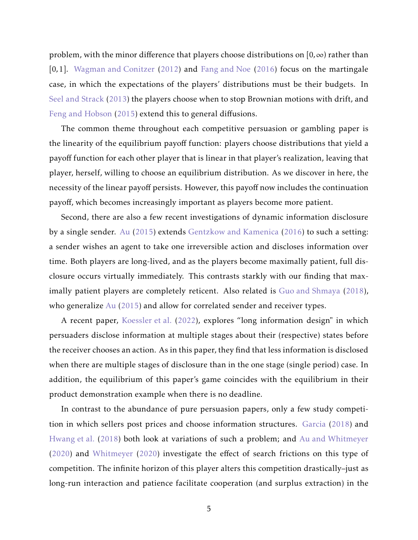problem, with the minor difference that players choose distributions on [0*,*∞) rather than [0*,*1]. [Wagman and Conitzer](#page-13-1) [\(2012](#page-13-1)) and [Fang and Noe](#page-12-4) [\(2016](#page-12-4)) focus on the martingale case, in which the expectations of the players' distributions must be their budgets. In [Seel and Strack](#page-13-2) [\(2013\)](#page-13-2) the players choose when to stop Brownian motions with drift, and [Feng and Hobson](#page-12-5) [\(2015\)](#page-12-5) extend this to general diffusions.

The common theme throughout each competitive persuasion or gambling paper is the linearity of the equilibrium payoff function: players choose distributions that yield a payoff function for each other player that is linear in that player's realization, leaving that player, herself, willing to choose an equilibrium distribution. As we discover in here, the necessity of the linear payoff persists. However, this payoff now includes the continuation payoff, which becomes increasingly important as players become more patient.

Second, there are also a few recent investigations of dynamic information disclosure by a single sender. [Au](#page-12-6) [\(2015](#page-12-6)) extends [Gentzkow and Kamenica](#page-12-7) [\(2016](#page-12-7)) to such a setting: a sender wishes an agent to take one irreversible action and discloses information over time. Both players are long-lived, and as the players become maximally patient, full disclosure occurs virtually immediately. This contrasts starkly with our finding that maximally patient players are completely reticent. Also related is [Guo and Shmaya](#page-12-8) [\(2018](#page-12-8)), who generalize [Au](#page-12-6) [\(2015](#page-12-6)) and allow for correlated sender and receiver types.

A recent paper, [Koessler et al.](#page-13-3) [\(2022](#page-13-3)), explores "long information design" in which persuaders disclose information at multiple stages about their (respective) states before the receiver chooses an action. As in this paper, they find that less information is disclosed when there are multiple stages of disclosure than in the one stage (single period) case. In addition, the equilibrium of this paper's game coincides with the equilibrium in their product demonstration example when there is no deadline.

In contrast to the abundance of pure persuasion papers, only a few study competition in which sellers post prices and choose information structures. [Garcia](#page-12-9) [\(2018](#page-12-9)) and [Hwang et al.](#page-12-10) [\(2018](#page-12-10)) both look at variations of such a problem; and [Au and Whitmeyer](#page-12-11) [\(2020](#page-12-11)) and [Whitmeyer](#page-13-4) [\(2020](#page-13-4)) investigate the effect of search frictions on this type of competition. The infinite horizon of this player alters this competition drastically–just as long-run interaction and patience facilitate cooperation (and surplus extraction) in the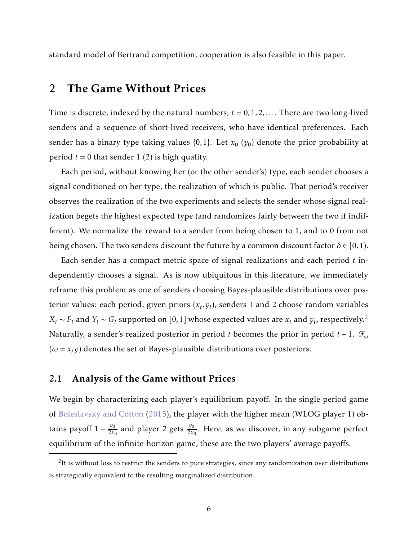standard model of Bertrand competition, cooperation is also feasible in this paper.

### 2 The Game Without Prices

Time is discrete, indexed by the natural numbers,  $t = 0, 1, 2, \ldots$ . There are two long-lived senders and a sequence of short-lived receivers, who have identical preferences. Each sender has a binary type taking values  $\{0,1\}$ . Let  $x_0$   $(y_0)$  denote the prior probability at period  $t = 0$  that sender 1 (2) is high quality.

Each period, without knowing her (or the other sender's) type, each sender chooses a signal conditioned on her type, the realization of which is public. That period's receiver observes the realization of the two experiments and selects the sender whose signal realization begets the highest expected type (and randomizes fairly between the two if indifferent). We normalize the reward to a sender from being chosen to 1, and to 0 from not being chosen. The two senders discount the future by a common discount factor  $\delta \in [0,1)$ .

Each sender has a compact metric space of signal realizations and each period *t* independently chooses a signal. As is now ubiquitous in this literature, we immediately reframe this problem as one of senders choosing Bayes-plausible distributions over posterior values: each period, given priors  $(x_t, y_t)$ , senders 1 and 2 choose random variables  $X_t \sim F_t$  and  $Y_t \sim G_t$  supported on [0, 1] whose expected values are  $x_t$  and  $y_t$ , respectively.<sup>[2](#page-5-0)</sup> Naturally, a sender's realized posterior in period *t* becomes the prior in period *t* + 1. F*<sup>ω</sup>*  $(\omega = x, y)$  denotes the set of Bayes-plausible distributions over posteriors.

### 2.1 Analysis of the Game without Prices

We begin by characterizing each player's equilibrium payoff. In the single period game of [Boleslavsky and Cotton](#page-12-1) [\(2015\)](#page-12-1), the player with the higher mean (WLOG player 1) obtains payoff  $1 - \frac{y_0}{2x_0}$  $\frac{y_0}{2x_0}$  and player 2 gets  $\frac{y_0}{2x_0}$ . Here, as we discover, in any subgame perfect equilibrium of the infinite-horizon game, these are the two players' average payoffs.

<span id="page-5-0"></span> $2$ It is without loss to restrict the senders to pure strategies, since any randomization over distributions is strategically equivalent to the resulting marginalized distribution.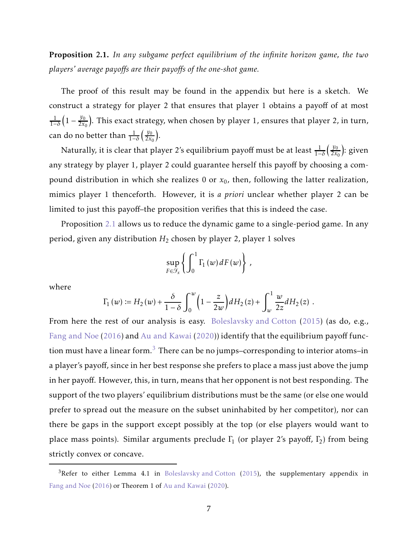<span id="page-6-0"></span>Proposition 2.1. *In any subgame perfect equilibrium of the infinite horizon game, the two players' average payoffs are their payoffs of the one-shot game.*

The proof of this result may be found in the appendix but here is a sketch. We construct a strategy for player 2 that ensures that player 1 obtains a payoff of at most 1 1−*δ*  $\left(1 - \frac{y_0}{2x_0}\right)$  $\frac{y_0}{2x_0}$ ). This exact strategy, when chosen by player 1, ensures that player 2, in turn, can do no better than  $\frac{1}{1-\delta}$  $\frac{y_0}{x_0}$  $\frac{y_0}{2x_0}$ .

Naturally, it is clear that player 2's equilibrium payoff must be at least <sup>1</sup> 1−*δ*  $\frac{y_0}{2}$  $\frac{y_0}{2x_0}$ ): given any strategy by player 1, player 2 could guarantee herself this payoff by choosing a compound distribution in which she realizes  $0$  or  $x_0$ , then, following the latter realization, mimics player 1 thenceforth. However, it is *a priori* unclear whether player 2 can be limited to just this payoff–the proposition verifies that this is indeed the case.

Proposition [2.1](#page-6-0) allows us to reduce the dynamic game to a single-period game. In any period, given any distribution *H*<sub>2</sub> chosen by player 2, player 1 solves

$$
\sup_{F\in\mathcal{F}_x}\left\{\int_0^1\Gamma_1(w)\,dF(w)\right\}\,,
$$

where

$$
\Gamma_1(w) := H_2(w) + \frac{\delta}{1-\delta} \int_0^w \left(1 - \frac{z}{2w}\right) dH_2(z) + \int_w^1 \frac{w}{2z} dH_2(z) .
$$

From here the rest of our analysis is easy. [Boleslavsky and Cotton](#page-12-1) [\(2015](#page-12-1)) (as do, e.g., [Fang and Noe](#page-12-4) [\(2016](#page-12-4)) and [Au and Kawai](#page-12-0) [\(2020](#page-12-0))) identify that the equilibrium payoff function must have a linear form. $3$  There can be no jumps–corresponding to interior atoms–in a player's payoff, since in her best response she prefers to place a mass just above the jump in her payoff. However, this, in turn, means that her opponent is not best responding. The support of the two players' equilibrium distributions must be the same (or else one would prefer to spread out the measure on the subset uninhabited by her competitor), nor can there be gaps in the support except possibly at the top (or else players would want to place mass points). Similar arguments preclude  $\Gamma_1$  (or player 2's payoff,  $\Gamma_2$ ) from being strictly convex or concave.

<span id="page-6-1"></span><sup>&</sup>lt;sup>3</sup>Refer to either Lemma 4.1 in [Boleslavsky and Cotton](#page-12-1) [\(2015\)](#page-12-1), the supplementary appendix in [Fang and Noe](#page-12-4) [\(2016](#page-12-4)) or Theorem 1 of [Au and Kawai](#page-12-0) [\(2020](#page-12-0)).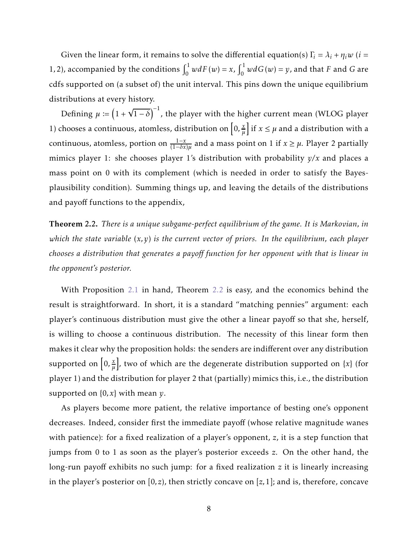Given the linear form, it remains to solve the differential equation(s)  $\Gamma_i = \lambda_i + \eta_i w$  (*i* = 1, 2), accompanied by the conditions  $\int_0^1 w dF(w) = x$ ,  $\int_0^1 w dG(w) = y$ , and that *F* and *G* are cdfs supported on (a subset of) the unit interval. This pins down the unique equilibrium distributions at every history.

Defining  $\mu \coloneqq \left(1 + \sqrt{1 - \delta}\right)^{-1}$ , the player with the higher current mean (WLOG player 1) chooses a continuous, atomless, distribution on  $\left[0, \frac{x}{u}\right]$  $\left[\frac{x}{\mu}\right]$  if  $x \leq \mu$  and a distribution with a continuous, atomless, portion on  $\frac{1-x}{(1-\delta x)\mu}$  and a mass point on 1 if  $x \ge \mu$ . Player 2 partially mimics player 1: she chooses player 1's distribution with probability *y/x* and places a mass point on 0 with its complement (which is needed in order to satisfy the Bayesplausibility condition). Summing things up, and leaving the details of the distributions and payoff functions to the appendix,

<span id="page-7-0"></span>Theorem 2.2. *There is a unique subgame-perfect equilibrium of the game. It is Markovian, in which the state variable* (*x,y*) *is the current vector of priors. In the equilibrium, each player chooses a distribution that generates a payoff function for her opponent with that is linear in the opponent's posterior.*

With Proposition [2.1](#page-6-0) in hand, Theorem [2.2](#page-7-0) is easy, and the economics behind the result is straightforward. In short, it is a standard "matching pennies" argument: each player's continuous distribution must give the other a linear payoff so that she, herself, is willing to choose a continuous distribution. The necessity of this linear form then makes it clear why the proposition holds: the senders are indifferent over any distribution supported on  $\left[0, \frac{x}{u}\right]$  $\left[\frac{x}{\mu}\right]$ , two of which are the degenerate distribution supported on  $\left\{ x\right\}$  (for player 1) and the distribution for player 2 that (partially) mimics this, i.e., the distribution supported on {0*, x*} with mean *y*.

As players become more patient, the relative importance of besting one's opponent decreases. Indeed, consider first the immediate payoff (whose relative magnitude wanes with patience): for a fixed realization of a player's opponent, *z*, it is a step function that jumps from 0 to 1 as soon as the player's posterior exceeds *z*. On the other hand, the long-run payoff exhibits no such jump: for a fixed realization *z* it is linearly increasing in the player's posterior on [0*,z*), then strictly concave on [*z,*1]; and is, therefore, concave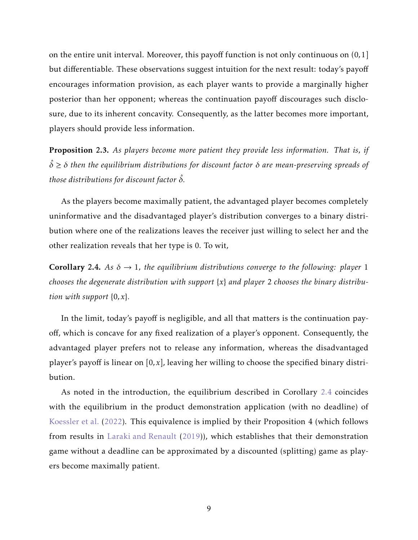on the entire unit interval. Moreover, this payoff function is not only continuous on (0*,*1] but differentiable. These observations suggest intuition for the next result: today's payoff encourages information provision, as each player wants to provide a marginally higher posterior than her opponent; whereas the continuation payoff discourages such disclosure, due to its inherent concavity. Consequently, as the latter becomes more important, players should provide less information.

<span id="page-8-1"></span>Proposition 2.3. *As players become more patient they provide less information. That is, if* <sup>ˆ</sup>*<sup>δ</sup>* <sup>≥</sup> *<sup>δ</sup> then the equilibrium distributions for discount factor <sup>δ</sup> are mean-preserving spreads of those distributions for discount factor δ*ˆ*.*

As the players become maximally patient, the advantaged player becomes completely uninformative and the disadvantaged player's distribution converges to a binary distribution where one of the realizations leaves the receiver just willing to select her and the other realization reveals that her type is 0. To wit,

<span id="page-8-0"></span>**Corollary 2.4.** As  $\delta \rightarrow 1$ , the equilibrium distributions converge to the following: player 1 *chooses the degenerate distribution with support* {*x*} *and player* 2 *chooses the binary distribution with support* {0*, x*}*.*

In the limit, today's payoff is negligible, and all that matters is the continuation payoff, which is concave for any fixed realization of a player's opponent. Consequently, the advantaged player prefers not to release any information, whereas the disadvantaged player's payoff is linear on [0*, x*], leaving her willing to choose the specified binary distribution.

As noted in the introduction, the equilibrium described in Corollary [2.4](#page-8-0) coincides with the equilibrium in the product demonstration application (with no deadline) of [Koessler et al.](#page-13-3) [\(2022\)](#page-13-3). This equivalence is implied by their Proposition 4 (which follows from results in [Laraki and Renault](#page-13-5) [\(2019](#page-13-5))), which establishes that their demonstration game without a deadline can be approximated by a discounted (splitting) game as players become maximally patient.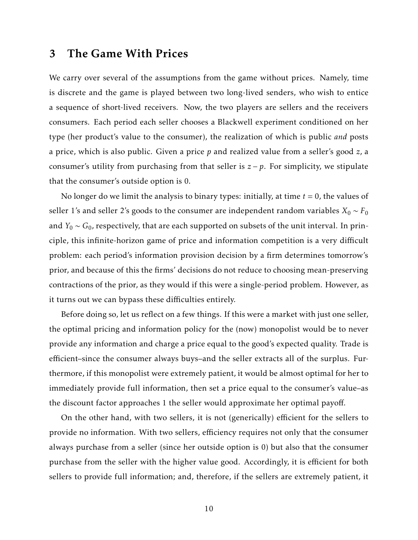### 3 The Game With Prices

We carry over several of the assumptions from the game without prices. Namely, time is discrete and the game is played between two long-lived senders, who wish to entice a sequence of short-lived receivers. Now, the two players are sellers and the receivers consumers. Each period each seller chooses a Blackwell experiment conditioned on her type (her product's value to the consumer), the realization of which is public *and* posts a price, which is also public. Given a price *p* and realized value from a seller's good *z*, a consumer's utility from purchasing from that seller is *z* − *p*. For simplicity, we stipulate that the consumer's outside option is 0.

No longer do we limit the analysis to binary types: initially, at time  $t = 0$ , the values of seller 1's and seller 2's goods to the consumer are independent random variables  $X_0$  ∼  $F_0$ and  $Y_0 \sim G_0$ , respectively, that are each supported on subsets of the unit interval. In principle, this infinite-horizon game of price and information competition is a very difficult problem: each period's information provision decision by a firm determines tomorrow's prior, and because of this the firms' decisions do not reduce to choosing mean-preserving contractions of the prior, as they would if this were a single-period problem. However, as it turns out we can bypass these difficulties entirely.

Before doing so, let us reflect on a few things. If this were a market with just one seller, the optimal pricing and information policy for the (now) monopolist would be to never provide any information and charge a price equal to the good's expected quality. Trade is efficient–since the consumer always buys–and the seller extracts all of the surplus. Furthermore, if this monopolist were extremely patient, it would be almost optimal for her to immediately provide full information, then set a price equal to the consumer's value–as the discount factor approaches 1 the seller would approximate her optimal payoff.

On the other hand, with two sellers, it is not (generically) efficient for the sellers to provide no information. With two sellers, efficiency requires not only that the consumer always purchase from a seller (since her outside option is 0) but also that the consumer purchase from the seller with the higher value good. Accordingly, it is efficient for both sellers to provide full information; and, therefore, if the sellers are extremely patient, it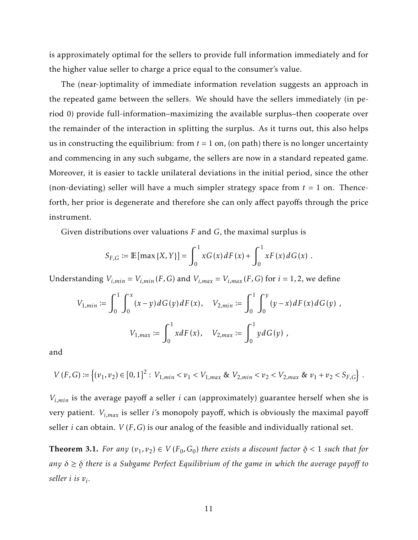is approximately optimal for the sellers to provide full information immediately and for the higher value seller to charge a price equal to the consumer's value.

The (near-)optimality of immediate information revelation suggests an approach in the repeated game between the sellers. We should have the sellers immediately (in period 0) provide full-information–maximizing the available surplus–then cooperate over the remainder of the interaction in splitting the surplus. As it turns out, this also helps us in constructing the equilibrium: from  $t = 1$  on, (on path) there is no longer uncertainty and commencing in any such subgame, the sellers are now in a standard repeated game. Moreover, it is easier to tackle unilateral deviations in the initial period, since the other (non-deviating) seller will have a much simpler strategy space from  $t = 1$  on. Thenceforth, her prior is degenerate and therefore she can only affect payoffs through the price instrument.

Given distributions over valuations *F* and *G*, the maximal surplus is

$$
S_{F,G} := \mathbb{E} [\max \{X, Y\}] = \int_0^1 x G(x) dF(x) + \int_0^1 x F(x) dG(x) .
$$

Understanding  $V_{i,min} = V_{i,min}(F,G)$  and  $V_{i,max} = V_{i,max}(F,G)$  for  $i = 1, 2$ , we define

$$
V_{1,min} := \int_0^1 \int_0^x (x - y) dG(y) dF(x), \quad V_{2,min} := \int_0^1 \int_0^y (y - x) dF(x) dG(y),
$$

$$
V_{1,max} := \int_0^1 x dF(x), \quad V_{2,max} := \int_0^1 y dG(y),
$$

and

$$
V(F, G) := \left\{ (v_1, v_2) \in [0, 1]^2 : V_{1, min} < v_1 < V_{1, max} \& V_{2, min} < v_2 < V_{2, max} \& v_1 + v_2 < S_{F, G} \right\} \,.
$$

*Vi,min* is the average payoff a seller *i* can (approximately) guarantee herself when she is very patient. *Vi,max* is seller *i*'s monopoly payoff, which is obviously the maximal payoff seller *i* can obtain. *V* (*F,G*) is our analog of the feasible and individually rational set.

<span id="page-10-0"></span>**Theorem 3.1.** For any  $(v_1, v_2) \in V(F_0, G_0)$  there exists a discount factor ¯ *δ <* 1 *such that for*  $any \delta \geq \underline{\delta}$ *δ there is a Subgame Perfect Equilibrium of the game in which the average payoff to seller i is v<sup>i</sup> .*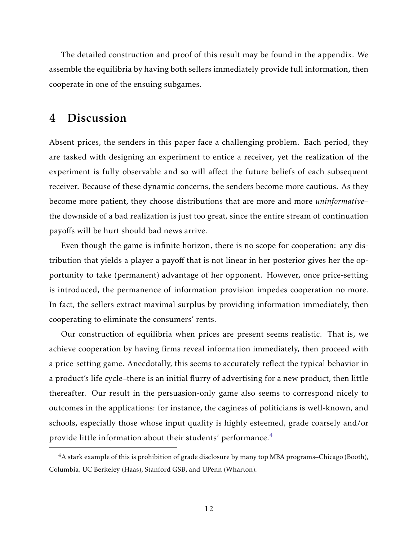The detailed construction and proof of this result may be found in the appendix. We assemble the equilibria by having both sellers immediately provide full information, then cooperate in one of the ensuing subgames.

### 4 Discussion

Absent prices, the senders in this paper face a challenging problem. Each period, they are tasked with designing an experiment to entice a receiver, yet the realization of the experiment is fully observable and so will affect the future beliefs of each subsequent receiver. Because of these dynamic concerns, the senders become more cautious. As they become more patient, they choose distributions that are more and more *uninformative*– the downside of a bad realization is just too great, since the entire stream of continuation payoffs will be hurt should bad news arrive.

Even though the game is infinite horizon, there is no scope for cooperation: any distribution that yields a player a payoff that is not linear in her posterior gives her the opportunity to take (permanent) advantage of her opponent. However, once price-setting is introduced, the permanence of information provision impedes cooperation no more. In fact, the sellers extract maximal surplus by providing information immediately, then cooperating to eliminate the consumers' rents.

Our construction of equilibria when prices are present seems realistic. That is, we achieve cooperation by having firms reveal information immediately, then proceed with a price-setting game. Anecdotally, this seems to accurately reflect the typical behavior in a product's life cycle–there is an initial flurry of advertising for a new product, then little thereafter. Our result in the persuasion-only game also seems to correspond nicely to outcomes in the applications: for instance, the caginess of politicians is well-known, and schools, especially those whose input quality is highly esteemed, grade coarsely and/or provide little information about their students' performance.<sup>[4](#page-11-0)</sup>

<span id="page-11-0"></span><sup>4</sup>A stark example of this is prohibition of grade disclosure by many top MBA programs–Chicago (Booth), Columbia, UC Berkeley (Haas), Stanford GSB, and UPenn (Wharton).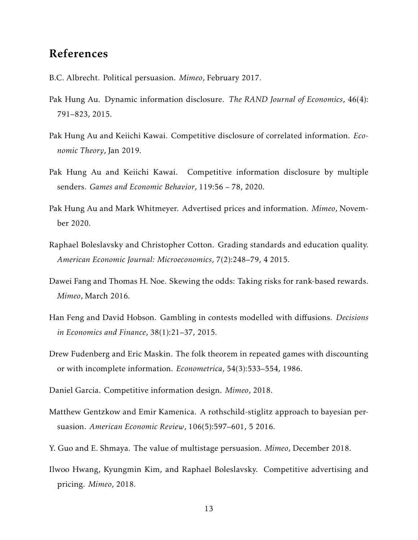### References

- <span id="page-12-2"></span>B.C. Albrecht. Political persuasion. *Mimeo*, February 2017.
- <span id="page-12-6"></span>Pak Hung Au. Dynamic information disclosure. *The RAND Journal of Economics*, 46(4): 791–823, 2015.
- <span id="page-12-3"></span>Pak Hung Au and Keiichi Kawai. Competitive disclosure of correlated information. *Economic Theory*, Jan 2019.
- <span id="page-12-0"></span>Pak Hung Au and Keiichi Kawai. Competitive information disclosure by multiple senders. *Games and Economic Behavior*, 119:56 – 78, 2020.
- <span id="page-12-11"></span>Pak Hung Au and Mark Whitmeyer. Advertised prices and information. *Mimeo*, November 2020.
- <span id="page-12-1"></span>Raphael Boleslavsky and Christopher Cotton. Grading standards and education quality. *American Economic Journal: Microeconomics*, 7(2):248–79, 4 2015.
- <span id="page-12-4"></span>Dawei Fang and Thomas H. Noe. Skewing the odds: Taking risks for rank-based rewards. *Mimeo*, March 2016.
- <span id="page-12-5"></span>Han Feng and David Hobson. Gambling in contests modelled with diffusions. *Decisions in Economics and Finance*, 38(1):21–37, 2015.
- <span id="page-12-12"></span>Drew Fudenberg and Eric Maskin. The folk theorem in repeated games with discounting or with incomplete information. *Econometrica*, 54(3):533–554, 1986.
- <span id="page-12-9"></span>Daniel Garcia. Competitive information design. *Mimeo*, 2018.
- <span id="page-12-7"></span>Matthew Gentzkow and Emir Kamenica. A rothschild-stiglitz approach to bayesian persuasion. *American Economic Review*, 106(5):597–601, 5 2016.
- <span id="page-12-8"></span>Y. Guo and E. Shmaya. The value of multistage persuasion. *Mimeo*, December 2018.
- <span id="page-12-10"></span>Ilwoo Hwang, Kyungmin Kim, and Raphael Boleslavsky. Competitive advertising and pricing. *Mimeo*, 2018.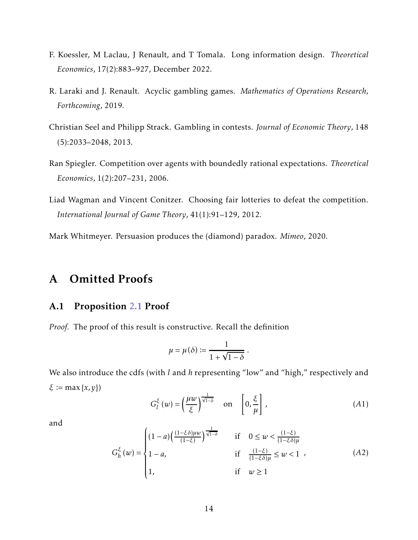- <span id="page-13-3"></span>F. Koessler, M Laclau, J Renault, and T Tomala. Long information design. *Theoretical Economics*, 17(2):883–927, December 2022.
- <span id="page-13-5"></span>R. Laraki and J. Renault. Acyclic gambling games. *Mathematics of Operations Research, Forthcoming*, 2019.
- <span id="page-13-2"></span>Christian Seel and Philipp Strack. Gambling in contests. *Journal of Economic Theory*, 148 (5):2033–2048, 2013.
- <span id="page-13-0"></span>Ran Spiegler. Competition over agents with boundedly rational expectations. *Theoretical Economics*, 1(2):207–231, 2006.
- <span id="page-13-1"></span>Liad Wagman and Vincent Conitzer. Choosing fair lotteries to defeat the competition. *International Journal of Game Theory*, 41(1):91–129, 2012.

<span id="page-13-4"></span>Mark Whitmeyer. Persuasion produces the (diamond) paradox. *Mimeo*, 2020.

## A Omitted Proofs

#### A.1 Proposition [2.1](#page-6-0) Proof

*Proof.* The proof of this result is constructive. Recall the definition

<span id="page-13-6"></span>
$$
\mu = \mu(\delta) := \frac{1}{1 + \sqrt{1 - \delta}} \; .
$$

We also introduce the cdfs (with *l* and *h* representing "low" and "high," respectively and *<sup>ξ</sup>* <sup>≔</sup> max{*x,y*})

<span id="page-13-7"></span>
$$
G_l^{\xi}(w) = \left(\frac{\mu w}{\xi}\right)^{\frac{1}{\sqrt{1-\delta}}} \quad \text{on} \quad \left[0, \frac{\xi}{\mu}\right],\tag{A1}
$$

and

$$
G_h^{\xi}(w) = \begin{cases} (1-a)\left(\frac{(1-\xi\delta)\mu w}{(1-\xi)}\right)^{\frac{1}{\sqrt{1-\delta}}} & \text{if } 0 \le w < \frac{(1-\xi)}{(1-\xi\delta)\mu} \\ 1-a, & \text{if } \frac{(1-\xi)}{(1-\xi\delta)\mu} \le w < 1 \\ 1, & \text{if } w \ge 1 \end{cases} \tag{A2}
$$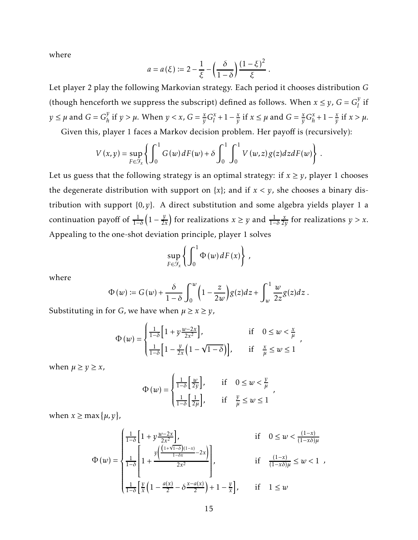where

$$
a = a(\xi) := 2 - \frac{1}{\xi} - \left(\frac{\delta}{1-\delta}\right) \frac{\left(1-\xi\right)^2}{\xi}.
$$

Let player 2 play the following Markovian strategy. Each period it chooses distribution *G* (though henceforth we suppress the subscript) defined as follows. When  $x \le y$ ,  $G = G_l^y$  $\frac{y}{l}$  if  $y \leq \mu$  and  $G = G_h^y$  $y$ <sup>*y*</sup> if  $y > \mu$ . When  $y < x$ ,  $G = \frac{x}{y}G_l^x$  $\frac{x}{l}+1-\frac{x}{y}$ *y* if  $x \le \mu$  and  $G = \frac{x}{y} G_h^x$  $\frac{x}{h}+1-\frac{x}{y}$  $\frac{x}{y}$  if  $x > \mu$ .

Given this, player 1 faces a Markov decision problem. Her payoff is (recursively):

$$
V(x,y) = \sup_{F \in \mathcal{F}_x} \left\{ \int_0^1 G(w) dF(w) + \delta \int_0^1 \int_0^1 V(w,z) g(z) dz dF(w) \right\}.
$$

Let us guess that the following strategy is an optimal strategy: if  $x \ge y$ , player 1 chooses the degenerate distribution with support on  $\{x\}$ ; and if  $x < y$ , she chooses a binary distribution with support {0*,y*}. A direct substitution and some algebra yields player 1 a continuation payoff of <sup>1</sup> 1−*δ*  $\left(1-\frac{y}{2}\right)$  $\left(\frac{y}{2x}\right)$  for realizations  $x \geq y$  and  $\frac{1}{1-\delta}$ *x*  $\frac{x}{2y}$  for realizations  $y > x$ . Appealing to the one-shot deviation principle, player 1 solves

$$
\sup_{F\in\mathcal{F}_x}\left\{\int_0^1\Phi(w)\,dF(x)\right\}\,,
$$

where

$$
\Phi(w) \coloneqq G(w) + \frac{\delta}{1-\delta} \int_0^w \left(1 - \frac{z}{2w}\right) g(z) dz + \int_w^1 \frac{w}{2z} g(z) dz.
$$

Substituting in for *G*, we have when  $\mu \ge x \ge y$ ,

$$
\Phi(w) = \begin{cases} \frac{1}{1-\delta} \left[ 1 + y \frac{w-2x}{2x^2} \right], & \text{if } 0 \le w < \frac{x}{\mu} \\ \frac{1}{1-\delta} \left[ 1 - \frac{y}{2x} \left( 1 - \sqrt{1-\delta} \right) \right], & \text{if } \frac{x}{\mu} \le w \le 1 \end{cases}
$$

when  $\mu \ge y \ge x$ ,

$$
\Phi(w) = \begin{cases} \frac{1}{1-\delta} \left[ \frac{w}{2y} \right], & \text{if } 0 \le w < \frac{y}{\mu} \\ \frac{1}{1-\delta} \left[ \frac{1}{2\mu} \right], & \text{if } \frac{y}{\mu} \le w \le 1 \end{cases}
$$

when  $x \geq \max{\{\mu, y\}}$ ,

$$
\Phi(w) = \begin{cases}\n\frac{1}{1-\delta} \left[ 1 + y \frac{w-2x}{2x^2} \right], & \text{if } 0 \le w < \frac{(1-x)}{(1-x\delta)\mu} \\
\frac{1}{1-\delta} \left[ 1 + \frac{y \left( \frac{(1+\sqrt{1-\delta})(1-x)}{1-\delta x} - 2x \right)}{2x^2} \right], & \text{if } \frac{(1-x)}{(1-x\delta)\mu} \le w < 1, \\
\frac{1}{1-\delta} \left[ \frac{y}{x} \left( 1 - \frac{a(x)}{2} - \delta \frac{x-a(x)}{2} \right) + 1 - \frac{y}{x} \right], & \text{if } 1 \le w\n\end{cases}
$$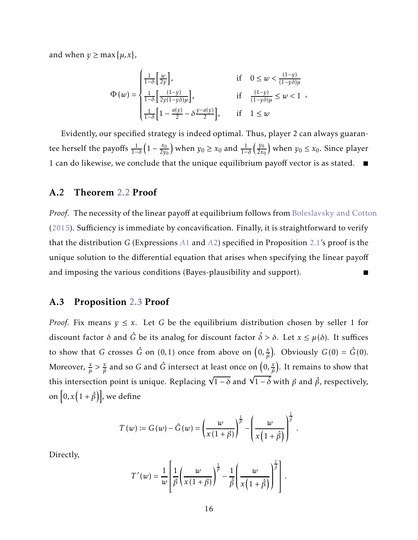and when  $y \ge \max{\{\mu, x\}}$ ,

$$
\Phi(w) = \begin{cases} \frac{1}{1-\delta} \left[ \frac{w}{2y} \right], & \text{if } 0 \le w < \frac{(1-y)}{(1-y\delta)\mu} \\ \frac{1}{1-\delta} \left[ \frac{(1-y)}{2y(1-y\delta)\mu} \right], & \text{if } \frac{(1-y)}{(1-y\delta)\mu} \le w < 1 \\ \frac{1}{1-\delta} \left[ 1 - \frac{a(y)}{2} - \delta \frac{y-a(y)}{2} \right], & \text{if } 1 \le w \end{cases}
$$

Evidently, our specified strategy is indeed optimal. Thus, player 2 can always guarantee herself the payoffs  $\frac{1}{1-}$ 1−*δ*  $\left(1 - \frac{x_0}{2y_0}\right)$  $\left(\frac{x_0}{2y_0}\right)$  when  $y_0 \ge x_0$  and  $\frac{1}{1-\delta}$  $\frac{y_0}{2}$  $\left(\frac{y_0}{2x_0}\right)$  when  $y_0 \le x_0$ . Since player 1 can do likewise, we conclude that the unique equilibrium payoff vector is as stated.  $\blacksquare$ 

#### A.2 Theorem [2.2](#page-7-0) Proof

*Proof.* The necessity of the linear payoff at equilibrium follows from [Boleslavsky and Cotton](#page-12-1) [\(2015](#page-12-1)). Sufficiency is immediate by concavification. Finally, it is straightforward to verify that the distribution *G* (Expressions *[A](#page-13-6)*1 and *[A](#page-13-7)*2) specified in Proposition [2.1'](#page-6-0)s proof is the unique solution to the differential equation that arises when specifying the linear payoff and imposing the various conditions (Bayes-plausibility and support).

#### A.3 Proposition [2.3](#page-8-1) Proof

*Proof.* Fix means  $y \leq x$ . Let G be the equilibrium distribution chosen by seller 1 for discount factor  $\delta$  and  $\hat{G}$  be its analog for discount factor  $\hat{\delta} > \delta$ . Let  $x \leq \mu(\delta)$ . It suffices to show that *G* crosses  $\hat{G}$  on (0,1) once from above on  $\left(0, \frac{x}{\hat{a}}\right)$  $\frac{x}{\hat{\mu}}$ . Obviously *G*(0) = *G*(0). Moreover,  $\frac{x}{\mu} > \frac{x}{\hat{\mu}}$  $\frac{x}{\hat{\mu}}$  and so  $G$  and  $\hat{G}$  intersect at least once on  $\left(0,\frac{x}{\hat{\mu}}\right)$  $\left(\frac{x}{\hat{\mu}}\right)$ . It remains to show that this intersection point is unique. Replacing  $\sqrt{1-\delta}$  and  $\sqrt{1-\delta}$  with  $\beta$  and  $\hat{\beta}$ , respectively, on  $[0, x(1+\hat{\beta})]$ , we define

$$
T(w) \coloneqq G(w) - \hat{G}(w) = \left(\frac{w}{x(1+\beta)}\right)^{\frac{1}{\beta}} - \left(\frac{w}{x(1+\hat{\beta})}\right)^{\frac{1}{\hat{\beta}}}.
$$

Directly,

$$
T'(w) = \frac{1}{w} \left[ \frac{1}{\beta} \left( \frac{w}{x(1+\beta)} \right)^{\frac{1}{\beta}} - \frac{1}{\hat{\beta}} \left( \frac{w}{x(1+\hat{\beta})} \right)^{\frac{1}{\hat{\beta}}} \right].
$$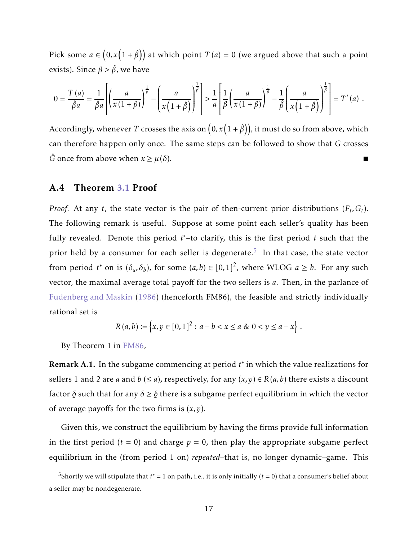Pick some  $a \in (0, x\left(1 + \hat{\beta}\right))$  at which point  $T\left( a \right) = 0$  (we argued above that such a point exists). Since  $\beta > \hat{\beta}$ , we have

$$
0 = \frac{T(a)}{\hat{\beta}a} = \frac{1}{\hat{\beta}a} \left[ \left( \frac{a}{x(1+\beta)} \right)^{\frac{1}{\beta}} - \left( \frac{a}{x(1+\hat{\beta})} \right)^{\frac{1}{\beta}} \right] > \frac{1}{a} \left[ \frac{1}{\beta} \left( \frac{a}{x(1+\beta)} \right)^{\frac{1}{\beta}} - \frac{1}{\hat{\beta}} \left( \frac{a}{x(1+\hat{\beta})} \right)^{\frac{1}{\beta}} \right] = T'(a) .
$$

Accordingly, whenever  $T$  crosses the axis on  $\big(0, x\big(1+\hat\beta\big)\big)$ , it must do so from above, which can therefore happen only once. The same steps can be followed to show that *G* crosses  $\hat{G}$  once from above when  $x \geq \mu(\delta)$ .

#### A.4 Theorem [3.1](#page-10-0) Proof

*Proof.* At any *t*, the state vector is the pair of then-current prior distributions  $(F_t, G_t)$ . The following remark is useful. Suppose at some point each seller's quality has been fully revealed. Denote this period *t* ∗–to clarify, this is the first period *t* such that the prior held by a consumer for each seller is degenerate.<sup>[5](#page-16-0)</sup> In that case, the state vector from period  $t^*$  on is  $(\delta_a, \delta_b)$ , for some  $(a, b) \in [0, 1]^2$ , where WLOG  $a \ge b$ . For any such vector, the maximal average total payoff for the two sellers is *a*. Then, in the parlance of [Fudenberg and Maskin](#page-12-12) [\(1986](#page-12-12)) (henceforth FM86), the feasible and strictly individually rational set is

<span id="page-16-1"></span>
$$
R(a,b) := \{x, y \in [0,1]^2 : a - b < x \le a \& 0 < y \le a - x\}.
$$

By Theorem 1 in [FM86,](#page-16-1)

Remark A.1. In the subgame commencing at period *t* ∗ in which the value realizations for sellers 1 and 2 are *a* and *b* ( $\leq$  *a*), respectively, for any  $(x, y) \in R(a, b)$  there exists a discount factor *δ* such that for any *δ* ≥ *δ δ* there is a subgame perfect equilibrium in which the vector of average payoffs for the two firms is (*x,y*).

Given this, we construct the equilibrium by having the firms provide full information in the first period  $(t = 0)$  and charge  $p = 0$ , then play the appropriate subgame perfect equilibrium in the (from period 1 on) *repeated*–that is, no longer dynamic–game. This

<span id="page-16-0"></span><sup>&</sup>lt;sup>5</sup>Shortly we will stipulate that  $t^* = 1$  on path, i.e., it is only initially ( $t = 0$ ) that a consumer's belief about a seller may be nondegenerate.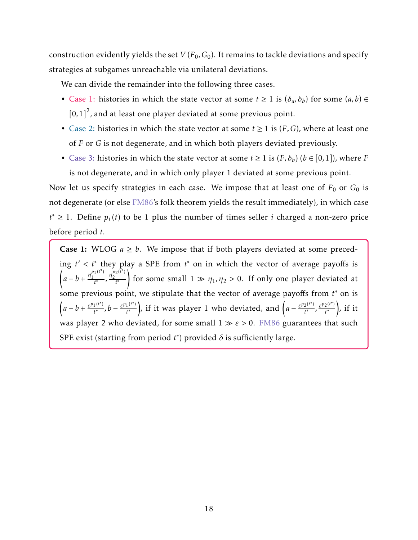construction evidently yields the set  $V(F_0,G_0).$  It remains to tackle deviations and specify strategies at subgames unreachable via unilateral deviations.

We can divide the remainder into the following three cases.

- Case 1: histories in which the state vector at some  $t \ge 1$  is  $(\delta_a, \delta_b)$  for some  $(a, b) \in$  $[0,1]^2$ , and at least one player deviated at some previous point.
- Case 2: histories in which the state vector at some  $t \geq 1$  is  $(F, G)$ , where at least one of *F* or *G* is not degenerate, and in which both players deviated previously.
- Case 3: histories in which the state vector at some  $t \ge 1$  is  $(F, \delta_b)$   $(b \in [0, 1])$ , where *F* is not degenerate, and in which only player 1 deviated at some previous point.

Now let us specify strategies in each case. We impose that at least one of  $F_0$  or  $G_0$  is not degenerate (or else [FM86'](#page-16-1)s folk theorem yields the result immediately), in which case *t*<sup>∗</sup> ≥ 1. Define  $p_i(t)$  to be 1 plus the number of times seller *i* charged a non-zero price before period *t*.

**Case 1:** WLOG  $a \geq b$ . We impose that if both players deviated at some preceding *t* ′ *< t*∗ they play a SPE from *t* <sup>∗</sup> on in which the vector of average payoffs is Í  $a-b+\frac{\eta_1^{p_1(t^*)}}{t^*}$  $\frac{p_1(t^*)}{t^*}, \frac{\eta_2^{p_2(t^*)}}{t^*}$ 2 *t* ∗ ! for some small  $1 \gg \eta_1, \eta_2 > 0$ . If only one player deviated at some previous point, we stipulate that the vector of average payoffs from *t* ∗ on is  $\left(a - b + \frac{\varepsilon^{p_1(t^*)}}{t^*}\right)$  $\frac{f^{(t^*)}}{t^*}$ ,  $b - \frac{\varepsilon^{p_1(t^*)}}{t^*}$ *t* ∗ ), if it was player 1 who deviated, and  $\left(a - \frac{\varepsilon^{p_2(t^*)}}{t^*}\right)$  $\frac{e^{t^*}}{t^*}$ ,  $\frac{e^{p_2(t^*)}}{t^*}$ *t* ∗ ), if it was player 2 who deviated, for some small 1 ≫ *ε >* 0. [FM86](#page-16-1) guarantees that such SPE exist (starting from period  $t^*$ ) provided  $\delta$  is sufficiently large.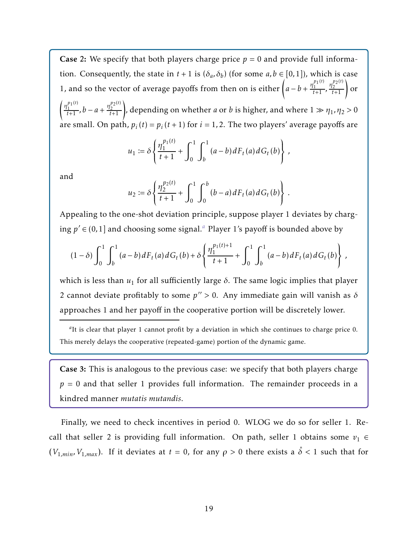**Case 2:** We specify that both players charge price  $p = 0$  and provide full information. Consequently, the state in  $t + 1$  is  $(\delta_a, \delta_b)$  (for some  $a, b \in [0, 1]$ ), which is case 1, and so the vector of average payoffs from then on is either  $\left(a - b + \frac{\eta_1^{p_1(t)}}{t+1}\right)$  $\frac{\eta_1^{p_1(t)}}{t+1}$ ,  $\frac{\eta_2^{p_2(t)}}{t+1}$ 2  $\frac{p_2^{p_2(t)}}{t+1}$  or  $\int$  *η*<sup>p</sup><sub>1</sub></sub>(*t*)  $\frac{p_1(t)}{t+1}$ ,  $b-a+\frac{\eta_2^{p_2(t)}}{t+1}$ 2  $\binom{p_2(t)}{2}$ , depending on whether *a* or *b* is higher, and where  $1 \gg \eta_1$ ,  $\eta_2 > 0$ are small. On path,  $p_i(t) = p_i(t+1)$  for  $i = 1, 2$ . The two players' average payoffs are

$$
u_1 := \delta \left\{ \frac{\eta_1^{p_1(t)}}{t+1} + \int_0^1 \int_b^1 (a-b) dF_t(a) dG_t(b) \right\},\,
$$

and

$$
u_2 := \delta \left\{ \frac{\eta_2^{p_2(t)}}{t+1} + \int_0^1 \int_0^b (b-a) dF_t(a) dG_t(b) \right\}.
$$

Appealing to the one-shot deviation principle, suppose player 1 deviates by charging  $p' \in (0,1]$  [a](#page-18-0)nd choosing some signal.<sup>*a*</sup> Player 1's payoff is bounded above by

$$
(1-\delta)\int_0^1\int_b^1(a-b)\,dF_t(a)\,dG_t(b)+\delta\left\{\frac{\eta_1^{p_1(t)+1}}{t+1}+\int_0^1\int_b^1(a-b)\,dF_t(a)\,dG_t(b)\right\}\,,
$$

which is less than  $u_1$  for all sufficiently large  $\delta$ . The same logic implies that player 2 cannot deviate profitably to some *p* ′′ *>* 0. Any immediate gain will vanish as *δ* approaches 1 and her payoff in the cooperative portion will be discretely lower.

<span id="page-18-0"></span>*a* It is clear that player 1 cannot profit by a deviation in which she continues to charge price 0. This merely delays the cooperative (repeated-game) portion of the dynamic game.

Case 3: This is analogous to the previous case: we specify that both players charge  $p = 0$  and that seller 1 provides full information. The remainder proceeds in a kindred manner *mutatis mutandis*.

Finally, we need to check incentives in period 0. WLOG we do so for seller 1. Recall that seller 2 is providing full information. On path, seller 1 obtains some  $v_1 \in$ *(V*<sub>1,*min*</sub>, *V*<sub>1,*max*</sub>). If it deviates at *t* = 0, for any *ρ* > 0 there exists a  $\hat{\delta}$  < 1 such that for